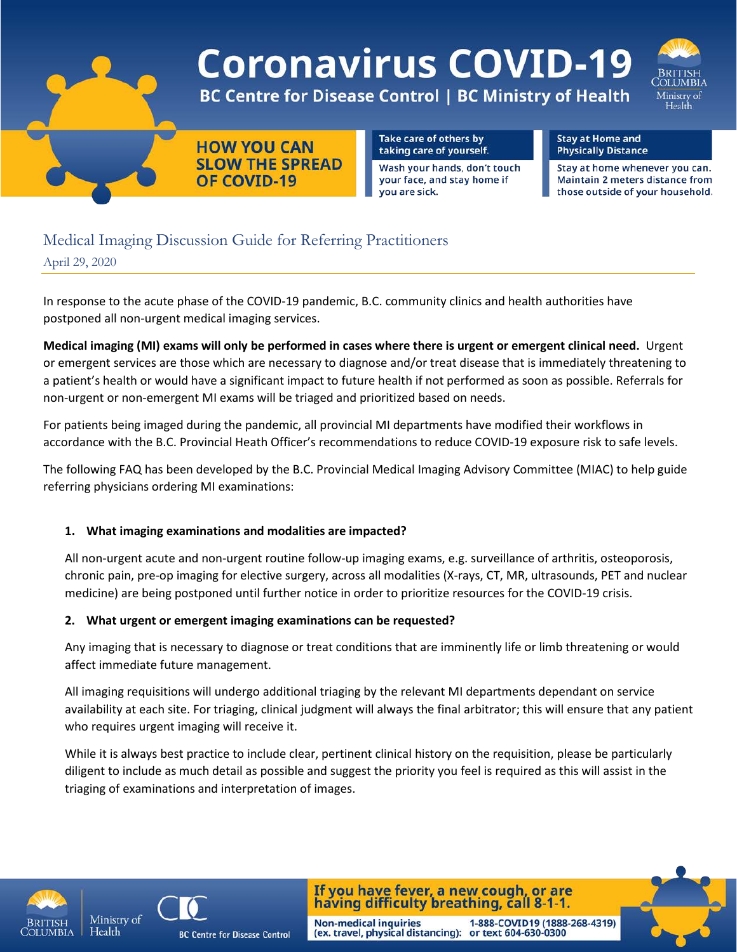

# **Coronavirus COVID-19**

**BC Centre for Disease Control | BC Ministry of Health** 



**HOW YOU CAN SLOW THE SPREAD** OF COVID-19

Take care of others by taking care of yourself.

Wash your hands, don't touch your face, and stay home if you are sick.

**Stay at Home and Physically Distance** 

Stay at home whenever you can. Maintain 2 meters distance from those outside of your household.

# Medical Imaging Discussion Guide for Referring Practitioners

April 29, 2020

In response to the acute phase of the COVID-19 pandemic, B.C. community clinics and health authorities have postponed all non-urgent medical imaging services.

**Medical imaging (MI) exams will only be performed in cases where there is urgent or emergent clinical need.** Urgent or emergent services are those which are necessary to diagnose and/or treat disease that is immediately threatening to a patient's health or would have a significant impact to future health if not performed as soon as possible. Referrals for non-urgent or non-emergent MI exams will be triaged and prioritized based on needs.

For patients being imaged during the pandemic, all provincial MI departments have modified their workflows in accordance with the B.C. Provincial Heath Officer's recommendations to reduce COVID-19 exposure risk to safe levels.

The following FAQ has been developed by the B.C. Provincial Medical Imaging Advisory Committee (MIAC) to help guide referring physicians ordering MI examinations:

# **1. What imaging examinations and modalities are impacted?**

All non-urgent acute and non-urgent routine follow-up imaging exams, e.g. surveillance of arthritis, osteoporosis, chronic pain, pre-op imaging for elective surgery, across all modalities (X-rays, CT, MR, ultrasounds, PET and nuclear medicine) are being postponed until further notice in order to prioritize resources for the COVID-19 crisis.

# **2. What urgent or emergent imaging examinations can be requested?**

Any imaging that is necessary to diagnose or treat conditions that are imminently life or limb threatening or would affect immediate future management.

All imaging requisitions will undergo additional triaging by the relevant MI departments dependant on service availability at each site. For triaging, clinical judgment will always the final arbitrator; this will ensure that any patient who requires urgent imaging will receive it.

While it is always best practice to include clear, pertinent clinical history on the requisition, please be particularly diligent to include as much detail as possible and suggest the priority you feel is required as this will assist in the triaging of examinations and interpretation of images.

**Non-medical inquiries** 





**BC Centre for Disease Control** 

If you have fever, a new cough, or are having difficulty breathing, call 8-1-1.

(ex. travel, physical distancing): or text 604-630-0300

1-888-COVID19 (1888-268-4319)

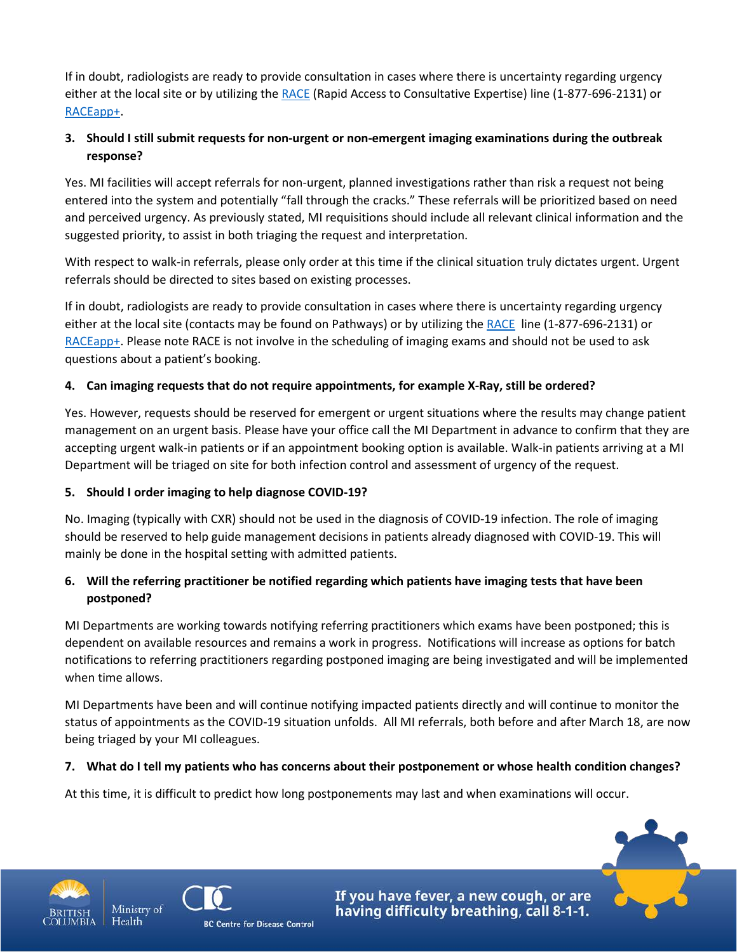If in doubt, radiologists are ready to provide consultation in cases where there is uncertainty regarding urgency either at the local site or by utilizing the [RACE](http://www.raceconnect.ca/contact-us/) (Rapid Access to Consultative Expertise) line (1-877-696-2131) or [RACEapp+.](http://www.raceapp.ca/#getting-started/introduction)

# **3. Should I still submit requests for non-urgent or non-emergent imaging examinations during the outbreak response?**

Yes. MI facilities will accept referrals for non-urgent, planned investigations rather than risk a request not being entered into the system and potentially "fall through the cracks." These referrals will be prioritized based on need and perceived urgency. As previously stated, MI requisitions should include all relevant clinical information and the suggested priority, to assist in both triaging the request and interpretation.

With respect to walk-in referrals, please only order at this time if the clinical situation truly dictates urgent. Urgent referrals should be directed to sites based on existing processes.

If in doubt, radiologists are ready to provide consultation in cases where there is uncertainty regarding urgency either at the local site (contacts may be found on Pathways) or by utilizing th[e RACE](http://www.raceconnect.ca/contact-us/) line (1-877-696-2131) or [RACEapp+.](http://www.raceapp.ca/#getting-started/introduction) Please note RACE is not involve in the scheduling of imaging exams and should not be used to ask questions about a patient's booking.

# **4. Can imaging requests that do not require appointments, for example X-Ray, still be ordered?**

Yes. However, requests should be reserved for emergent or urgent situations where the results may change patient management on an urgent basis. Please have your office call the MI Department in advance to confirm that they are accepting urgent walk-in patients or if an appointment booking option is available. Walk-in patients arriving at a MI Department will be triaged on site for both infection control and assessment of urgency of the request.

#### **5. Should I order imaging to help diagnose COVID-19?**

No. Imaging (typically with CXR) should not be used in the diagnosis of COVID-19 infection. The role of imaging should be reserved to help guide management decisions in patients already diagnosed with COVID-19. This will mainly be done in the hospital setting with admitted patients.

#### **6. Will the referring practitioner be notified regarding which patients have imaging tests that have been postponed?**

MI Departments are working towards notifying referring practitioners which exams have been postponed; this is dependent on available resources and remains a work in progress. Notifications will increase as options for batch notifications to referring practitioners regarding postponed imaging are being investigated and will be implemented when time allows.

MI Departments have been and will continue notifying impacted patients directly and will continue to monitor the status of appointments as the COVID-19 situation unfolds. All MI referrals, both before and after March 18, are now being triaged by your MI colleagues.

#### **7. What do I tell my patients who has concerns about their postponement or whose health condition changes?**

At this time, it is difficult to predict how long postponements may last and when examinations will occur.



Health



If you have fever, a new cough, or are having difficulty breathing, call 8-1-1.